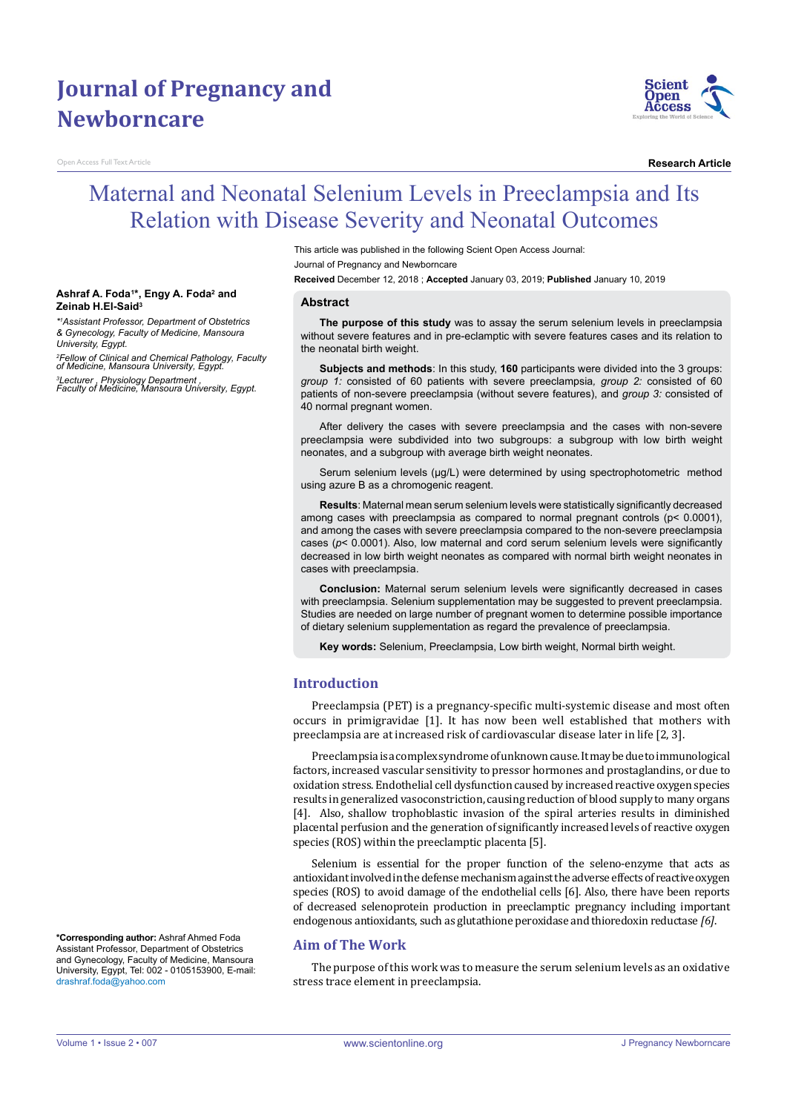# **Journal of Pregnancy and Newborncare**

**n Access Full Text Article** 



**Research Article**

# Maternal and Neonatal Selenium Levels in Preeclampsia and Its Relation with Disease Severity and Neonatal Outcomes

This article was published in the following Scient Open Access Journal: Journal of Pregnancy and Newborncare

**Received** December 12, 2018 ; **Accepted** January 03, 2019; **Published** January 10, 2019

#### **Abstract**

**The purpose of this study** was to assay the serum selenium levels in preeclampsia without severe features and in pre-eclamptic with severe features cases and its relation to the neonatal birth weight.

**Subjects and methods**: In this study, **160** participants were divided into the 3 groups: *group 1:* consisted of 60 patients with severe preeclampsia*, group 2:* consisted of 60 patients of non-severe preeclampsia (without severe features), and *group 3:* consisted of 40 normal pregnant women.

After delivery the cases with severe preeclampsia and the cases with non-severe preeclampsia were subdivided into two subgroups: a subgroup with low birth weight neonates, and a subgroup with average birth weight neonates.

Serum selenium levels (μg/L) were determined by using spectrophotometric method using azure B as a chromogenic reagent.

**Results**: Maternal mean serum selenium levels were statistically significantly decreased among cases with preeclampsia as compared to normal pregnant controls (p< 0.0001), and among the cases with severe preeclampsia compared to the non-severe preeclampsia cases (*p*< 0.0001). Also, low maternal and cord serum selenium levels were significantly decreased in low birth weight neonates as compared with normal birth weight neonates in cases with preeclampsia.

**Conclusion:** Maternal serum selenium levels were significantly decreased in cases with preeclampsia. Selenium supplementation may be suggested to prevent preeclampsia. Studies are needed on large number of pregnant women to determine possible importance of dietary selenium supplementation as regard the prevalence of preeclampsia.

**Key words:** Selenium, Preeclampsia, Low birth weight, Normal birth weight.

### **Introduction**

Preeclampsia (PET) is a pregnancy-specific multi-systemic disease and most often occurs in primigravidae [1]. It has now been well established that mothers with preeclampsia are at increased risk of cardiovascular disease later in life [2, 3].

Preeclampsia is a complex syndrome of unknown cause. It may be due to immunological factors, increased vascular sensitivity to pressor hormones and prostaglandins, or due to oxidation stress. Endothelial cell dysfunction caused by increased reactive oxygen species results in generalized vasoconstriction, causing reduction of blood supply to many organs [4]. Also, shallow trophoblastic invasion of the spiral arteries results in diminished placental perfusion and the generation of significantly increased levels of reactive oxygen species (ROS) within the preeclamptic placenta [5].

Selenium is essential for the proper function of the seleno-enzyme that acts as antioxidant involved in the defense mechanism against the adverse effects of reactive oxygen species (ROS) to avoid damage of the endothelial cells [6]. Also, there have been reports of decreased selenoprotein production in preeclamptic pregnancy including important endogenous antioxidants, such as glutathione peroxidase and thioredoxin reductase *[6]*.

## **Aim of The Work**

The purpose of this work was to measure the serum selenium levels as an oxidative stress trace element in preeclampsia.

#### **Ashraf A. Foda<sup>1</sup> \*, Engy A. Foda<sup>2</sup> and Zeinab H.El-Said<sup>3</sup>**

*\*1 Assistant Professor, Department of Obstetrics & Gynecology, Faculty of Medicine, Mansoura University, Egypt.*

*<sup>2</sup>Fellow of Clinical and Chemical Pathology, Faculty of Medicine, Mansoura University, Egypt.*

*<sup>3</sup>Lecturer , Physiology Department , Faculty of Medicine, Mansoura University, Egypt.* 

**\*Corresponding author:** Ashraf Ahmed Foda Assistant Professor, Department of Obstetrics and Gynecology, Faculty of Medicine, Mansoura University, Egypt, Tel: 002 - 0105153900, E-mail: drashraf.foda@yahoo.com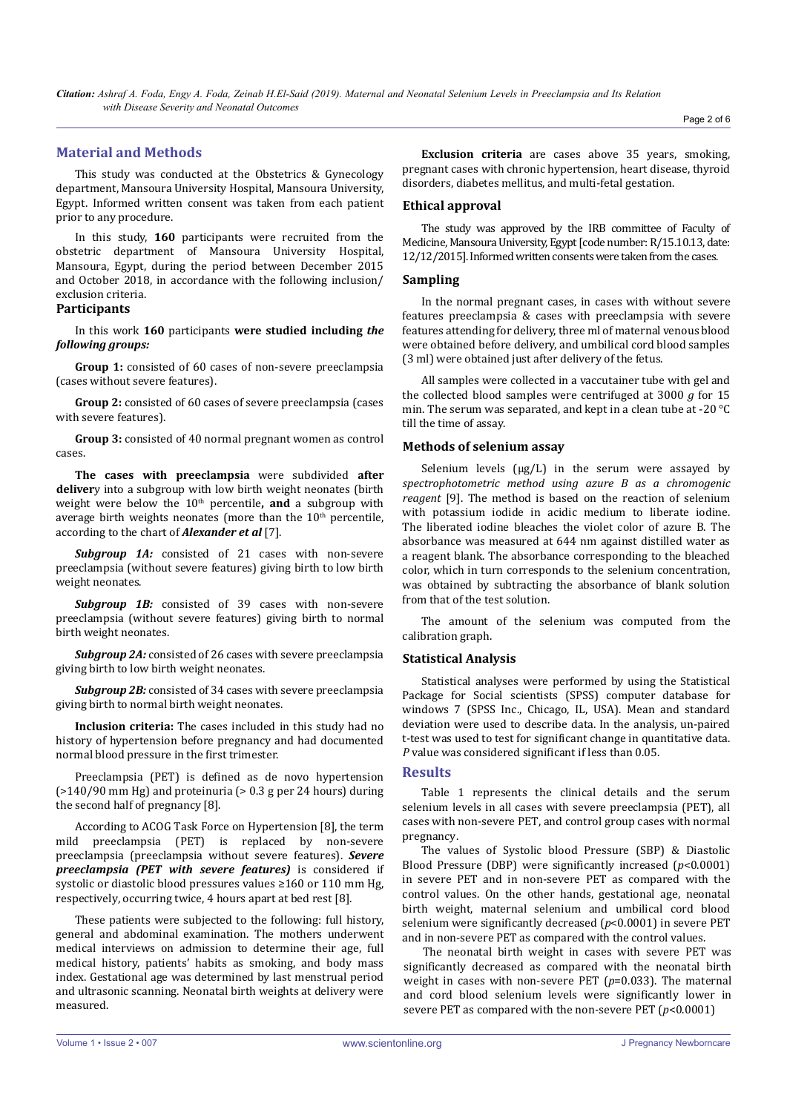## **Material and Methods**

This study was conducted at the Obstetrics & Gynecology department, Mansoura University Hospital, Mansoura University, Egypt. Informed written consent was taken from each patient prior to any procedure.

In this study, **160** participants were recruited from the obstetric department of Mansoura University Hospital, Mansoura, Egypt, during the period between December 2015 and October 2018, in accordance with the following inclusion/ exclusion criteria.

## **Participants**

In this work **160** participants **were studied including** *the following groups:*

**Group 1:** consisted of 60 cases of non-severe preeclampsia (cases without severe features).

**Group 2:** consisted of 60 cases of severe preeclampsia (cases with severe features).

**Group 3:** consisted of 40 normal pregnant women as control cases.

**The cases with preeclampsia** were subdivided **after deliver**y into a subgroup with low birth weight neonates (birth weight were below the 10<sup>th</sup> percentile, and a subgroup with average birth weights neonates (more than the  $10<sup>th</sup>$  percentile, according to the chart of *Alexander et al* [7].

*Subgroup 1A:* consisted of 21 cases with non-severe preeclampsia (without severe features) giving birth to low birth weight neonates.

*Subgroup 1B:* consisted of 39 cases with non-severe preeclampsia (without severe features) giving birth to normal birth weight neonates.

*Subgroup 2A:* consisted of 26 cases with severe preeclampsia giving birth to low birth weight neonates.

*Subgroup 2B:* consisted of 34 cases with severe preeclampsia giving birth to normal birth weight neonates.

**Inclusion criteria:** The cases included in this study had no history of hypertension before pregnancy and had documented normal blood pressure in the first trimester.

Preeclampsia (PET) is defined as de novo hypertension (>140/90 mm Hg) and proteinuria (> 0.3 g per 24 hours) during the second half of pregnancy [8].

According to ACOG Task Force on Hypertension [8], the term mild preeclampsia (PET) is replaced by non-severe preeclampsia (preeclampsia without severe features). *Severe preeclampsia (PET with severe features)* is considered if systolic or diastolic blood pressures values ≥160 or 110 mm Hg, respectively, occurring twice, 4 hours apart at bed rest [8].

These patients were subjected to the following: full history, general and abdominal examination. The mothers underwent medical interviews on admission to determine their age, full medical history, patients' habits as smoking, and body mass index. Gestational age was determined by last menstrual period and ultrasonic scanning. Neonatal birth weights at delivery were measured.

**Exclusion criteria** are cases above 35 years, smoking, pregnant cases with chronic hypertension, heart disease, thyroid disorders, diabetes mellitus, and multi-fetal gestation.

### **Ethical approval**

The study was approved by the IRB committee of Faculty of Medicine, Mansoura University, Egypt [code number: R/15.10.13, date: 12/12/2015]. Informed written consents were taken from the cases.

#### **Sampling**

In the normal pregnant cases, in cases with without severe features preeclampsia & cases with preeclampsia with severe features attending for delivery, three ml of maternal venous blood were obtained before delivery, and umbilical cord blood samples (3 ml) were obtained just after delivery of the fetus.

All samples were collected in a vaccutainer tube with gel and the collected blood samples were centrifuged at 3000 *g* for 15 min. The serum was separated, and kept in a clean tube at -20 °C till the time of assay.

#### **Methods of selenium assay**

Selenium levels (μg/L) in the serum were assayed by *spectrophotometric method using azure B as a chromogenic reagent* [9]. The method is based on the reaction of selenium with potassium iodide in acidic medium to liberate iodine. The liberated iodine bleaches the violet color of azure B. The absorbance was measured at 644 nm against distilled water as a reagent blank. The absorbance corresponding to the bleached color, which in turn corresponds to the selenium concentration, was obtained by subtracting the absorbance of blank solution from that of the test solution.

The amount of the selenium was computed from the calibration graph.

#### **Statistical Analysis**

Statistical analyses were performed by using the Statistical Package for Social scientists (SPSS) computer database for windows 7 (SPSS Inc., Chicago, IL, USA). Mean and standard deviation were used to describe data. In the analysis, un-paired t-test was used to test for significant change in quantitative data. *P* value was considered significant if less than 0.05.

#### **Results**

Table 1 represents the clinical details and the serum selenium levels in all cases with severe preeclampsia (PET), all cases with non-severe PET, and control group cases with normal pregnancy.

The values of Systolic blood Pressure (SBP) & Diastolic Blood Pressure (DBP) were significantly increased (*p*<0.0001) in severe PET and in non-severe PET as compared with the control values. On the other hands, gestational age, neonatal birth weight, maternal selenium and umbilical cord blood selenium were significantly decreased (*p*<0.0001) in severe PET and in non-severe PET as compared with the control values.

The neonatal birth weight in cases with severe PET was significantly decreased as compared with the neonatal birth weight in cases with non-severe PET (*p*=0.033). The maternal and cord blood selenium levels were significantly lower in severe PET as compared with the non-severe PET (*p*<0.0001)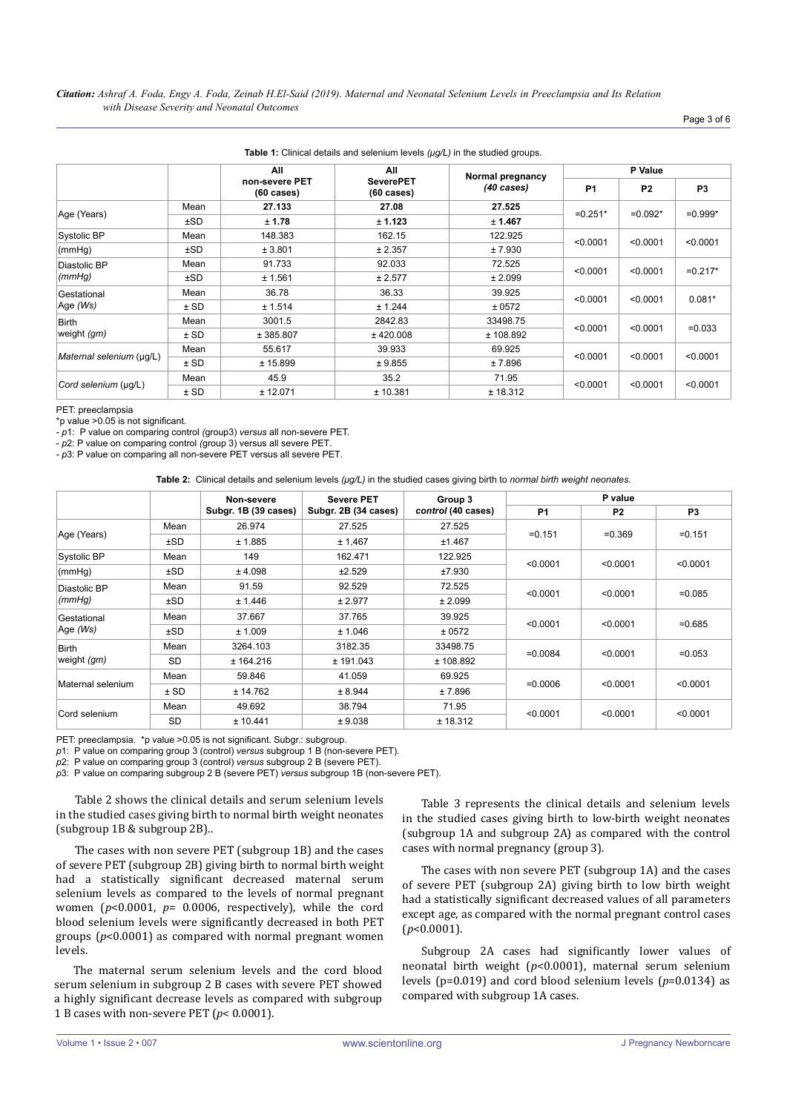|                             |        | All                                    | All                                      | Normal pregnancy     | P Value        |                |                |
|-----------------------------|--------|----------------------------------------|------------------------------------------|----------------------|----------------|----------------|----------------|
|                             |        | non-severe PET<br>$(60 \text{ cases})$ | <b>SeverePET</b><br>$(60 \text{ cases})$ | $(40 \text{ cases})$ | P <sub>1</sub> | P <sub>2</sub> | P <sub>3</sub> |
|                             | Mean   | 27.133                                 | 27.08                                    | 27.525               |                | $=0.092*$      | $=0.999*$      |
| Age (Years)                 | ±SD    | ± 1.78                                 | ± 1.123                                  | ± 1.467              | $=0.251*$      |                |                |
| Systolic BP                 | Mean   | 148.383                                | 162.15                                   | 122.925              |                | < 0.0001       | < 0.0001       |
| (mmHq)                      | ±SD    | ± 3.801                                | ± 2.357                                  | ± 7.930              | < 0.0001       |                |                |
| Diastolic BP<br>(mmHg)      | Mean   | 91.733                                 | 92.033                                   | 72.525               | < 0.0001       | < 0.0001       | $=0.217*$      |
|                             | ±SD    | ± 1.561                                | ± 2.577                                  | ± 2.099              |                |                |                |
| Gestational                 | Mean   | 36.78                                  | 36.33                                    | 39.925               | < 0.0001       | < 0.0001       | $0.081*$       |
| Age (Ws)                    | $±$ SD | ± 1.514                                | ± 1.244                                  | ± 0572               |                |                |                |
| <b>Birth</b><br>weight (gm) | Mean   | 3001.5                                 | 2842.83                                  | 33498.75             |                | < 0.0001       | $=0.033$       |
|                             | $±$ SD | ± 385.807                              | ± 420.008                                | ± 108.892            | < 0.0001       |                |                |
| Maternal selenium (µg/L)    | Mean   | 55.617                                 | 39.933                                   | 69.925               | < 0.0001       | < 0.0001       | < 0.0001       |
|                             | $±$ SD | ± 15.899                               | ± 9.855                                  | ± 7.896              |                |                |                |
| Cord selenium (µq/L)        | Mean   | 45.9                                   | 35.2                                     | 71.95                |                | < 0.0001       | < 0.0001       |
|                             | $±$ SD | ± 12.071                               | ± 10.381                                 | ± 18.312             | < 0.0001       |                |                |

PET: preeclampsia

\*p value >0.05 is not significant.

*- p*1: P value on comparing control *(*group3) *versus* all non-severe PET.

- *p*2: P value on comparing control *(*group 3) versus all severe PET.

*- p*3: P value on comparing all non-severe PET versus all severe PET.

**Table 2:** Clinical details and selenium levels *(μg/L)* in the studied cases giving birth to *normal birth weight neonates*.

|                             |           | Non-severe           | <b>Severe PET</b>    | Group 3            | P value    |                |                |
|-----------------------------|-----------|----------------------|----------------------|--------------------|------------|----------------|----------------|
|                             |           | Subgr. 1B (39 cases) | Subgr. 2B (34 cases) | control (40 cases) | <b>P1</b>  | P <sub>2</sub> | P <sub>3</sub> |
| Age (Years)                 | Mean      | 26.974               | 27.525               | 27.525             | $= 0.151$  | $= 0.369$      | $= 0.151$      |
|                             | ±SD       | ± 1.885              | ± 1,467              | ±1.467             |            |                |                |
| Systolic BP                 | Mean      | 149                  | 162.471              | 122.925            | < 0.0001   | < 0.0001       | < 0.0001       |
| (mmHq)                      | ±SD       | ± 4.098              | ±2.529               | ±7.930             |            |                |                |
| Diastolic BP                | Mean      | 91.59                | 92.529               | 72.525             | < 0.0001   | < 0.0001       | $=0.085$       |
| (mmHq)                      | ±SD       | ± 1.446              | ± 2.977              | ± 2.099            |            |                |                |
| Gestational<br>Age (Ws)     | Mean      | 37.667               | 37.765               | 39.925             | < 0.0001   | < 0.0001       | $=0.685$       |
|                             | ±SD       | ± 1.009              | ± 1.046              | ± 0572             |            |                |                |
| <b>Birth</b><br>weight (gm) | Mean      | 3264.103             | 3182.35              | 33498.75           |            | < 0.0001       | $=0.053$       |
|                             | <b>SD</b> | ± 164.216            | ± 191.043            | ± 108.892          | $=0.0084$  |                |                |
| Maternal selenium           | Mean      | 59.846               | 41.059               | 69.925             |            | < 0.0001       | < 0.0001       |
|                             | $±$ SD    | ± 14.762             | ± 8.944              | ± 7.896            | $= 0.0006$ |                |                |
| Cord selenium               | Mean      | 49.692               | 38.794               | 71.95              |            | < 0.0001       | < 0.0001       |
|                             | <b>SD</b> | ± 10.441             | ± 9.038              | ± 18.312           | < 0.0001   |                |                |

PET: preeclampsia. \*p value >0.05 is not significant. Subgr.: subgroup.

*p*1: P value on comparing group 3 (control) *versus* subgroup 1 B (non-severe PET).

*p*2: P value on comparing group 3 (control) *versus* subgroup 2 B (severe PET).

*p*3: P value on comparing subgroup 2 B (severe PET) *versus* subgroup 1B (non-severe PET).

Table 2 shows the clinical details and serum selenium levels in the studied cases giving birth to normal birth weight neonates (subgroup 1B & subgroup 2B)..

The cases with non severe PET (subgroup 1B) and the cases of severe PET (subgroup 2B) giving birth to normal birth weight had a statistically significant decreased maternal serum selenium levels as compared to the levels of normal pregnant women (*p*<0.0001, *p*= 0.0006, respectively), while the cord blood selenium levels were significantly decreased in both PET groups (*p*<0.0001) as compared with normal pregnant women levels.

The maternal serum selenium levels and the cord blood serum selenium in subgroup 2 B cases with severe PET showed a highly significant decrease levels as compared with subgroup 1 B cases with non-severe PET (*p*< 0.0001).

Table 3 represents the clinical details and selenium levels in the studied cases giving birth to low-birth weight neonates (subgroup 1A and subgroup 2A) as compared with the control cases with normal pregnancy (group 3).

The cases with non severe PET (subgroup 1A) and the cases of severe PET (subgroup 2A) giving birth to low birth weight had a statistically significant decreased values of all parameters except age, as compared with the normal pregnant control cases (*p*<0.0001).

Subgroup 2A cases had significantly lower values of neonatal birth weight (*p*<0.0001), maternal serum selenium levels (p=0.019) and cord blood selenium levels (*p*=0.0134) as compared with subgroup 1A cases.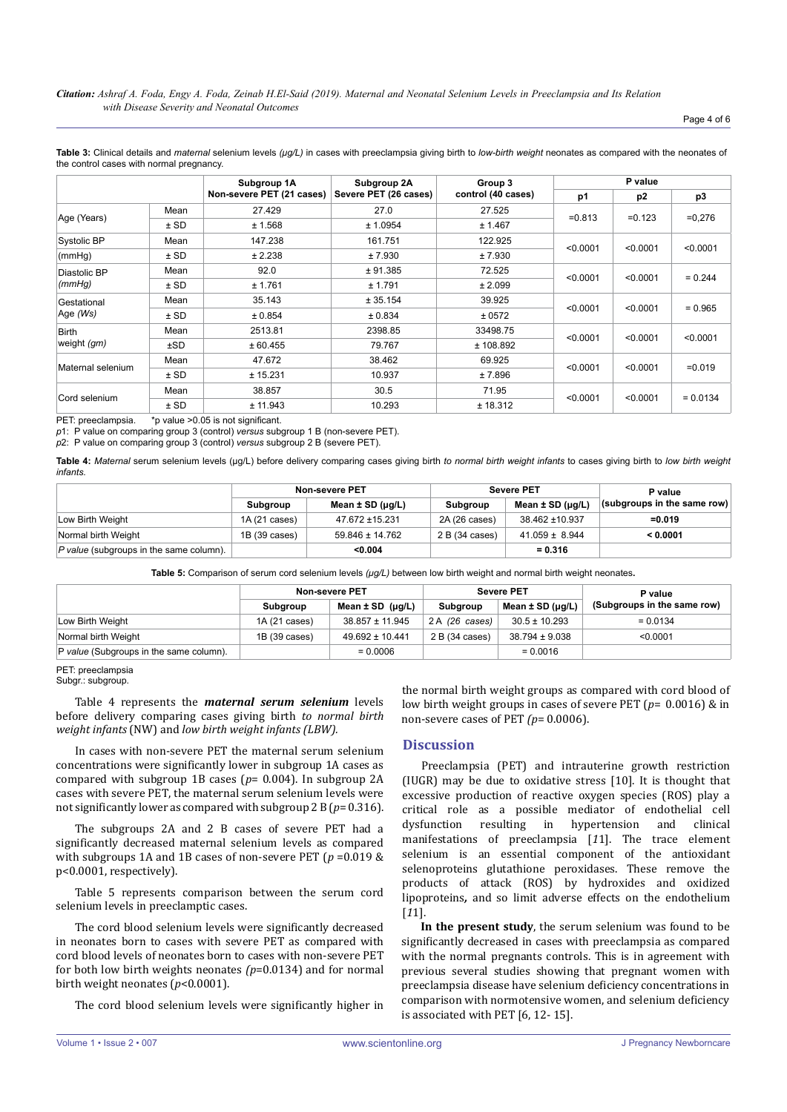*Citation: Ashraf A. Foda, Engy A. Foda, Zeinab H.El-Said (2019). Maternal and Neonatal Selenium Levels in Preeclampsia and Its Relation with Disease Severity and Neonatal Outcomes*

Page 4 of 6

**Table 3:** Clinical details and *maternal* selenium levels *(μg/L)* in cases with preeclampsia giving birth to *low-birth weight* neonates as compared with the neonates of the control cases with normal pregnancy.

|                             |        | Subgroup 1A               | Subgroup 2A           | Group 3            |           | P value        |                |  |
|-----------------------------|--------|---------------------------|-----------------------|--------------------|-----------|----------------|----------------|--|
|                             |        | Non-severe PET (21 cases) | Severe PET (26 cases) | control (40 cases) | p1        | p <sub>2</sub> | p <sub>3</sub> |  |
|                             | Mean   | 27.429                    | 27.0                  | 27.525             |           | $= 0.123$      | $=0,276$       |  |
| Age (Years)                 | $±$ SD | ± 1.568                   | ± 1.0954              | ± 1.467            | $= 0.813$ |                |                |  |
| Systolic BP                 | Mean   | 147.238                   | 161.751               | 122.925            |           | < 0.0001       | < 0.0001       |  |
| (mmHq)                      | $±$ SD | ± 2.238                   | ± 7.930               | ± 7.930            | < 0.0001  |                |                |  |
| Diastolic BP                | Mean   | 92.0                      | ± 91.385              | 72.525             | < 0.0001  | < 0.0001       | $= 0.244$      |  |
| (mmHq)                      | $±$ SD | ± 1.761                   | ± 1.791               | ± 2.099            |           |                |                |  |
| Gestational<br>Age (Ws)     | Mean   | 35.143                    | ± 35.154              | 39.925             |           | < 0.0001       | $= 0.965$      |  |
|                             | $±$ SD | ± 0.854                   | ± 0.834               | ± 0572             | < 0.0001  |                |                |  |
| <b>Birth</b><br>weight (gm) | Mean   | 2513.81                   | 2398.85               | 33498.75           |           | < 0.0001       | < 0.0001       |  |
|                             | ±SD    | ± 60.455                  | 79.767                | ± 108.892          | < 0.0001  |                |                |  |
| Maternal selenium           | Mean   | 47.672                    | 38.462                | 69.925             |           | < 0.0001       | $= 0.019$      |  |
|                             | $±$ SD | ± 15.231                  | 10.937                | ± 7.896            | < 0.0001  |                |                |  |
| Cord selenium               | Mean   | 38.857                    | 30.5                  | 71.95              |           | < 0.0001       | $= 0.0134$     |  |
|                             | $±$ SD | ± 11.943                  | 10.293                | ± 18.312           | < 0.0001  |                |                |  |

PET: preeclampsia. \*p value >0.05 is not significant.

*p*1: P value on comparing group 3 (control) *versus* subgroup 1 B (non-severe PET).

*p*2: P value on comparing group 3 (control) *versus* subgroup 2 B (severe PET).

**Table 4:** *Maternal* serum selenium levels (μg/L) before delivery comparing cases giving birth *to normal birth weight infants* to cases giving birth to *low birth weight infants.*

|                                         | Non-severe PET |                            | <b>Severe PET</b> |                            | P value                     |  |
|-----------------------------------------|----------------|----------------------------|-------------------|----------------------------|-----------------------------|--|
|                                         | Subgroup       | Mean $\pm$ SD ( $\mu$ g/L) | Subgroup          | Mean $\pm$ SD ( $\mu$ g/L) | (subgroups in the same row) |  |
| Low Birth Weight                        | 1A (21 cases)  | 47.672 ±15.231             | 2A (26 cases)     | 38.462 ±10.937             | $= 0.019$                   |  |
| Normal birth Weight                     | 1B (39 cases)  | $59.846 \pm 14.762$        | 2 B (34 cases)    | $41.059 \pm 8.944$         | < 0.0001                    |  |
| P value (subgroups in the same column). |                | < 0.004                    |                   | $= 0.316$                  |                             |  |

**Table 5:** Comparison of serum cord selenium levels *(μg/L)* between low birth weight and normal birth weight neonates**.**

|                                         |               | <b>Non-severe PET</b> | <b>Severe PET</b> |                            | P value                     |  |
|-----------------------------------------|---------------|-----------------------|-------------------|----------------------------|-----------------------------|--|
|                                         | Subgroup      | Mean $\pm$ SD (µg/L)  | <b>Subaroup</b>   | Mean $\pm$ SD ( $\mu$ g/L) | (Subgroups in the same row) |  |
| Low Birth Weight                        | 1A (21 cases) | $38.857 \pm 11.945$   | 2A (26 cases)     | $30.5 \pm 10.293$          | $= 0.0134$                  |  |
| Normal birth Weight                     | 1B (39 cases) | $49.692 \pm 10.441$   | 2 B (34 cases)    | $38.794 \pm 9.038$         | < 0.0001                    |  |
| P value (Subgroups in the same column). |               | $= 0.0006$            |                   | $= 0.0016$                 |                             |  |

PET: preeclampsia

Subgr.: subgroup.

Table 4 represents the *maternal serum selenium* levels before delivery comparing cases giving birth *to normal birth weight infants* (NW) and *low birth weight infants (LBW).*

In cases with non-severe PET the maternal serum selenium concentrations were significantly lower in subgroup 1A cases as compared with subgroup 1B cases (*p*= 0.004). In subgroup 2A cases with severe PET, the maternal serum selenium levels were not significantly lower as compared with subgroup 2 B (*p*= 0.316).

The subgroups 2A and 2 B cases of severe PET had a significantly decreased maternal selenium levels as compared with subgroups 1A and 1B cases of non-severe PET (*p* =0.019 & p<0.0001, respectively).

Table 5 represents comparison between the serum cord selenium levels in preeclamptic cases.

The cord blood selenium levels were significantly decreased in neonates born to cases with severe PET as compared with cord blood levels of neonates born to cases with non-severe PET for both low birth weights neonates *(p*=0.0134) and for normal birth weight neonates (*p*<0.0001).

The cord blood selenium levels were significantly higher in

the normal birth weight groups as compared with cord blood of low birth weight groups in cases of severe PET (*p*= 0.0016) & in non-severe cases of PET *(p*= 0.0006).

# **Discussion**

Preeclampsia (PET) and intrauterine growth restriction (IUGR) may be due to oxidative stress [10]. It is thought that excessive production of reactive oxygen species (ROS) play a critical role as a possible mediator of endothelial cell dysfunction resulting in hypertension and clinical manifestations of preeclampsia [*1*1]. The trace element selenium is an essential component of the antioxidant selenoproteins glutathione peroxidases. These remove the products of attack (ROS) by hydroxides and oxidized lipoproteins*,* and so limit adverse effects on the endothelium [*1*1].

**In the present study**, the serum selenium was found to be significantly decreased in cases with preeclampsia as compared with the normal pregnants controls. This is in agreement with previous several studies showing that pregnant women with preeclampsia disease have selenium deficiency concentrations in comparison with normotensive women, and selenium deficiency is associated with PET [6, 12- 15].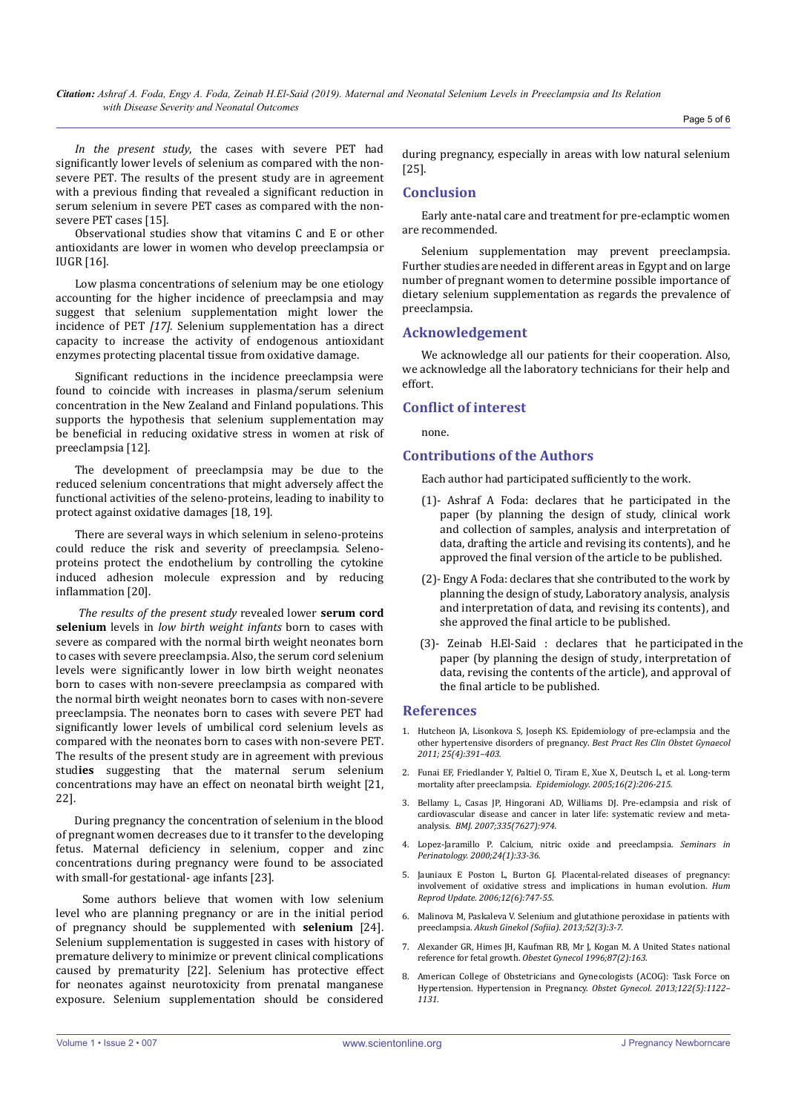*Citation: Ashraf A. Foda, Engy A. Foda, Zeinab H.El-Said (2019). Maternal and Neonatal Selenium Levels in Preeclampsia and Its Relation with Disease Severity and Neonatal Outcomes*

*In the present study*, the cases with severe PET had significantly lower levels of selenium as compared with the nonsevere PET. The results of the present study are in agreement with a previous finding that revealed a significant reduction in serum selenium in severe PET cases as compared with the nonsevere PET cases [15].

Observational studies show that vitamins C and E or other antioxidants are lower in women who develop preeclampsia or IUGR [16].

Low plasma concentrations of selenium may be one etiology accounting for the higher incidence of preeclampsia and may suggest that selenium supplementation might lower the incidence of PET *[17].* Selenium supplementation has a direct capacity to increase the activity of endogenous antioxidant enzymes protecting placental tissue from oxidative damage.

Significant reductions in the incidence preeclampsia were found to coincide with increases in plasma/serum selenium concentration in the New Zealand and Finland populations. This supports the hypothesis that selenium supplementation may be beneficial in reducing oxidative stress in women at risk of preeclampsia [12].

The development of preeclampsia may be due to the reduced selenium concentrations that might adversely affect the functional activities of the seleno-proteins, leading to inability to protect against oxidative damages [18, 19].

There are several ways in which selenium in seleno-proteins could reduce the risk and severity of preeclampsia. Selenoproteins protect the endothelium by controlling the cytokine induced adhesion molecule expression and by reducing inflammation [20].

 *The results of the present study* revealed lower **serum cord selenium** levels in *low birth weight infants* born to cases with severe as compared with the normal birth weight neonates born to cases with severe preeclampsia. Also, the serum cord selenium levels were significantly lower in low birth weight neonates born to cases with non-severe preeclampsia as compared with the normal birth weight neonates born to cases with non-severe preeclampsia. The neonates born to cases with severe PET had significantly lower levels of umbilical cord selenium levels as compared with the neonates born to cases with non-severe PET. The results of the present study are in agreement with previous stud**ies** suggesting that the maternal serum selenium concentrations may have an effect on neonatal birth weight [21, 22].

During pregnancy the concentration of selenium in the blood of pregnant women decreases due to it transfer to the developing fetus. Maternal deficiency in selenium, copper and zinc concentrations during pregnancy were found to be associated with small-for gestational- age infants [23].

 Some authors believe that women with low selenium level who are planning pregnancy or are in the initial period of pregnancy should be supplemented with **selenium** [24]. Selenium supplementation is suggested in cases with history of premature delivery to minimize or prevent clinical complications caused by prematurity [22]. Selenium has protective effect for neonates against neurotoxicity from prenatal manganese exposure. Selenium supplementation should be considered during pregnancy, especially in areas with low natural selenium [25].

## **Conclusion**

Early ante-natal care and treatment for pre-eclamptic women are recommended.

Selenium supplementation may prevent preeclampsia. Further studies are needed in different areas in Egypt and on large number of pregnant women to determine possible importance of dietary selenium supplementation as regards the prevalence of preeclampsia.

#### **Acknowledgement**

We acknowledge all our patients for their cooperation. Also, we acknowledge all the laboratory technicians for their help and effort.

#### **Conflict of interest**

none.

## **Contributions of the Authors**

Each author had participated sufficiently to the work.

- (1)- Ashraf A Foda: declares that he participated in the paper (by planning the design of study, clinical work and collection of samples, analysis and interpretation of data, drafting the article and revising its contents), and he approved the final version of the article to be published.
- (2)- Engy A Foda: declares that she contributed to the work by planning the design of study, Laboratory analysis, analysis and interpretation of data, and revising its contents), and she approved the final article to be published.
- (3)- Zeinab H.El-Said : declares that he participated in the paper (by planning the design of study, interpretation of data, revising the contents of the article), and approval of the final article to be published.

#### **References**

- 1. [Hutcheon JA, Lisonkova S, Joseph KS. Epidemiology of pre-eclampsia and the](https://www.ncbi.nlm.nih.gov/pubmed/21333604)  [other hypertensive disorders of pregnancy.](https://www.ncbi.nlm.nih.gov/pubmed/21333604) *Best Pract Res Clin Obstet Gynaecol [2011; 25\(4\):391–403.](https://www.ncbi.nlm.nih.gov/pubmed/21333604)*
- 2. [Funai EF, Friedlander Y, Paltiel O, Tiram E, Xue X, Deutsch L, et al. Long-term](https://www.ncbi.nlm.nih.gov/pubmed/15703535)  [mortality after preeclampsia.](https://www.ncbi.nlm.nih.gov/pubmed/15703535) *Epidemiology*. *2005;16(2):206-215.*
- 3. [Bellamy L, Casas JP, Hingorani AD, Williams DJ. Pre-eclampsia and risk of](https://www.ncbi.nlm.nih.gov/pubmed/17975258)  [cardiovascular disease and cancer in later life: systematic review and meta](https://www.ncbi.nlm.nih.gov/pubmed/17975258)analysis. *BMJ*. *[2007;335\(7627\):974.](https://www.ncbi.nlm.nih.gov/pubmed/17975258)*
- 4. [Lopez-Jaramillo P. Calcium, nitric oxide and preeclampsia.](https://www.ncbi.nlm.nih.gov/pubmed/10709856) *Seminars in [Perinatology. 2000;24\(1\):33-36.](https://www.ncbi.nlm.nih.gov/pubmed/10709856)*
- 5. [Jauniaux E Poston L, Burton GJ. Placental-related diseases of pregnancy:](https://www.ncbi.nlm.nih.gov/pubmed/16682385)  [involvement of oxidative stress and implications in human evolution.](https://www.ncbi.nlm.nih.gov/pubmed/16682385) *Hum [Reprod Update. 2006;12\(6\):747-55.](https://www.ncbi.nlm.nih.gov/pubmed/16682385)*
- 6. [Malinova M, Paskaleva V. Selenium and glutathione peroxidase in patients with](https://www.ncbi.nlm.nih.gov/pubmed/24501861)  preeclampsia. *[Akush Ginekol \(Sofiia\). 2013;52\(3\):3-7.](https://www.ncbi.nlm.nih.gov/pubmed/24501861)*
- 7. [Alexander GR, Himes JH, Kaufman RB, Mr J, Kogan M. A United States national](https://www.ncbi.nlm.nih.gov/pubmed/8559516)  reference for fetal growth. *[Obestet Gynecol 1996;87\(2\):163.](https://www.ncbi.nlm.nih.gov/pubmed/8559516)*
- 8. [American College of Obstetricians and Gynecologists \(ACOG\): Task Force on](https://journals.lww.com/greenjournal/Fulltext/2013/11000/Hypertension_in_Pregnancy___Executive_Summary.36.aspx)  [Hypertension. Hypertension in Pregnancy.](https://journals.lww.com/greenjournal/Fulltext/2013/11000/Hypertension_in_Pregnancy___Executive_Summary.36.aspx) *Obstet Gynecol. 2013;122(5):1122– [1131](https://journals.lww.com/greenjournal/Fulltext/2013/11000/Hypertension_in_Pregnancy___Executive_Summary.36.aspx)*.